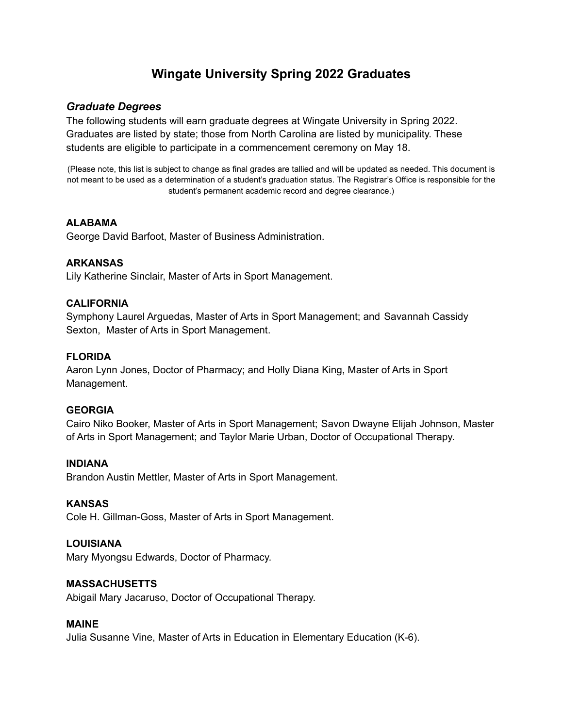# **Wingate University Spring 2022 Graduates**

### *Graduate Degrees*

The following students will earn graduate degrees at Wingate University in Spring 2022. Graduates are listed by state; those from North Carolina are listed by municipality. These students are eligible to participate in a commencement ceremony on May 18.

(Please note, this list is subject to change as final grades are tallied and will be updated as needed. This document is not meant to be used as a determination of a student's graduation status. The Registrar's Office is responsible for the student's permanent academic record and degree clearance.)

### **ALABAMA**

George David Barfoot, Master of Business Administration.

### **ARKANSAS**

Lily Katherine Sinclair, Master of Arts in Sport Management.

### **CALIFORNIA**

Symphony Laurel Arguedas, Master of Arts in Sport Management; and Savannah Cassidy Sexton, Master of Arts in Sport Management.

### **FLORIDA**

Aaron Lynn Jones, Doctor of Pharmacy; and Holly Diana King, Master of Arts in Sport Management.

#### **GEORGIA**

Cairo Niko Booker, Master of Arts in Sport Management; Savon Dwayne Elijah Johnson, Master of Arts in Sport Management; and Taylor Marie Urban, Doctor of Occupational Therapy.

#### **INDIANA**

Brandon Austin Mettler, Master of Arts in Sport Management.

#### **KANSAS**

Cole H. Gillman-Goss, Master of Arts in Sport Management.

#### **LOUISIANA**

Mary Myongsu Edwards, Doctor of Pharmacy.

#### **MASSACHUSETTS**

Abigail Mary Jacaruso, Doctor of Occupational Therapy.

#### **MAINE**

Julia Susanne Vine, Master of Arts in Education in Elementary Education (K-6).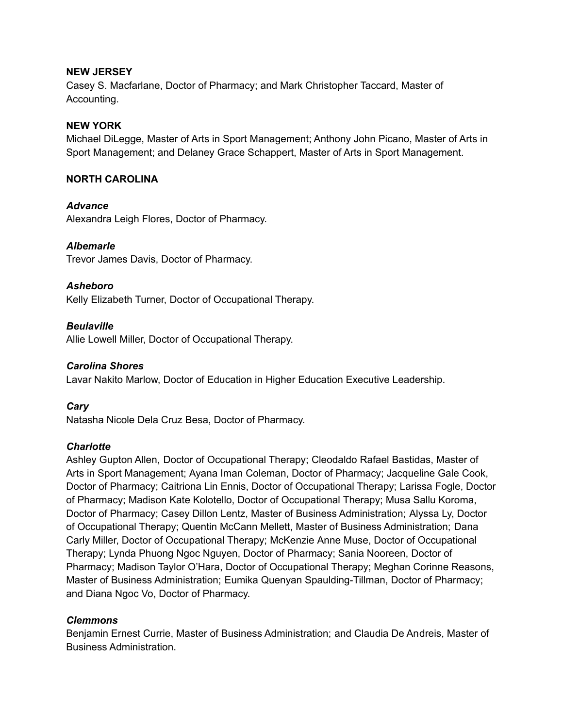#### **NEW JERSEY**

Casey S. Macfarlane, Doctor of Pharmacy; and Mark Christopher Taccard, Master of Accounting.

#### **NEW YORK**

Michael DiLegge, Master of Arts in Sport Management; Anthony John Picano, Master of Arts in Sport Management; and Delaney Grace Schappert, Master of Arts in Sport Management.

#### **NORTH CAROLINA**

*Advance*

Alexandra Leigh Flores, Doctor of Pharmacy.

### *Albemarle*

Trevor James Davis, Doctor of Pharmacy.

### *Asheboro*

Kelly Elizabeth Turner, Doctor of Occupational Therapy.

### *Beulaville*

Allie Lowell Miller, Doctor of Occupational Therapy.

#### *Carolina Shores*

Lavar Nakito Marlow, Doctor of Education in Higher Education Executive Leadership.

## *Cary*

Natasha Nicole Dela Cruz Besa, Doctor of Pharmacy.

#### *Charlotte*

Ashley Gupton Allen, Doctor of Occupational Therapy; Cleodaldo Rafael Bastidas, Master of Arts in Sport Management; Ayana Iman Coleman, Doctor of Pharmacy; Jacqueline Gale Cook, Doctor of Pharmacy; Caitriona Lin Ennis, Doctor of Occupational Therapy; Larissa Fogle, Doctor of Pharmacy; Madison Kate Kolotello, Doctor of Occupational Therapy; Musa Sallu Koroma, Doctor of Pharmacy; Casey Dillon Lentz, Master of Business Administration; Alyssa Ly, Doctor of Occupational Therapy; Quentin McCann Mellett, Master of Business Administration; Dana Carly Miller, Doctor of Occupational Therapy; McKenzie Anne Muse, Doctor of Occupational Therapy; Lynda Phuong Ngoc Nguyen, Doctor of Pharmacy; Sania Nooreen, Doctor of Pharmacy; Madison Taylor O'Hara, Doctor of Occupational Therapy; Meghan Corinne Reasons, Master of Business Administration; Eumika Quenyan Spaulding-Tillman, Doctor of Pharmacy; and Diana Ngoc Vo, Doctor of Pharmacy.

## *Clemmons*

Benjamin Ernest Currie, Master of Business Administration; and Claudia De Andreis, Master of Business Administration.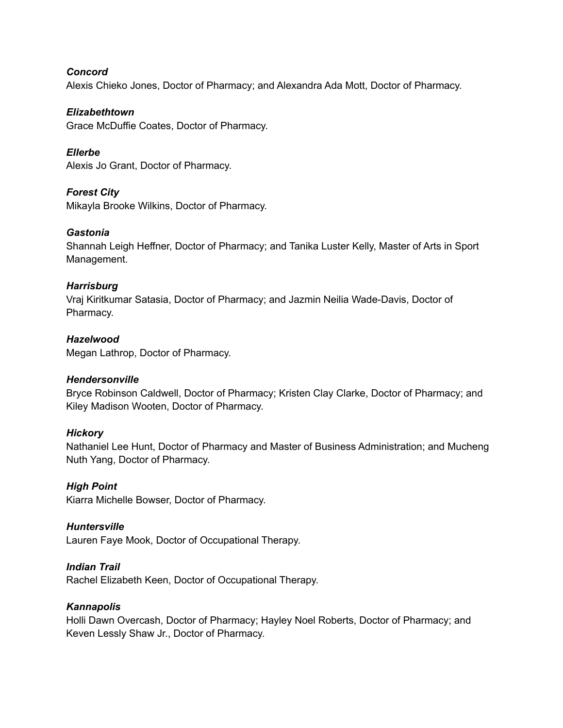*Concord*

Alexis Chieko Jones, Doctor of Pharmacy; and Alexandra Ada Mott, Doctor of Pharmacy.

#### *Elizabethtown*

Grace McDuffie Coates, Doctor of Pharmacy.

### *Ellerbe*

Alexis Jo Grant, Doctor of Pharmacy.

### *Forest City*

Mikayla Brooke Wilkins, Doctor of Pharmacy.

### *Gastonia*

Shannah Leigh Heffner, Doctor of Pharmacy; and Tanika Luster Kelly, Master of Arts in Sport Management.

### *Harrisburg*

Vraj Kiritkumar Satasia, Doctor of Pharmacy; and Jazmin Neilia Wade-Davis, Doctor of Pharmacy.

### *Hazelwood*

Megan Lathrop, Doctor of Pharmacy.

#### *Hendersonville*

Bryce Robinson Caldwell, Doctor of Pharmacy; Kristen Clay Clarke, Doctor of Pharmacy; and Kiley Madison Wooten, Doctor of Pharmacy.

#### *Hickory*

Nathaniel Lee Hunt, Doctor of Pharmacy and Master of Business Administration; and Mucheng Nuth Yang, Doctor of Pharmacy.

#### *High Point*

Kiarra Michelle Bowser, Doctor of Pharmacy.

#### *Huntersville*

Lauren Faye Mook, Doctor of Occupational Therapy.

## *Indian Trail*

Rachel Elizabeth Keen, Doctor of Occupational Therapy.

#### *Kannapolis*

Holli Dawn Overcash, Doctor of Pharmacy; Hayley Noel Roberts, Doctor of Pharmacy; and Keven Lessly Shaw Jr., Doctor of Pharmacy.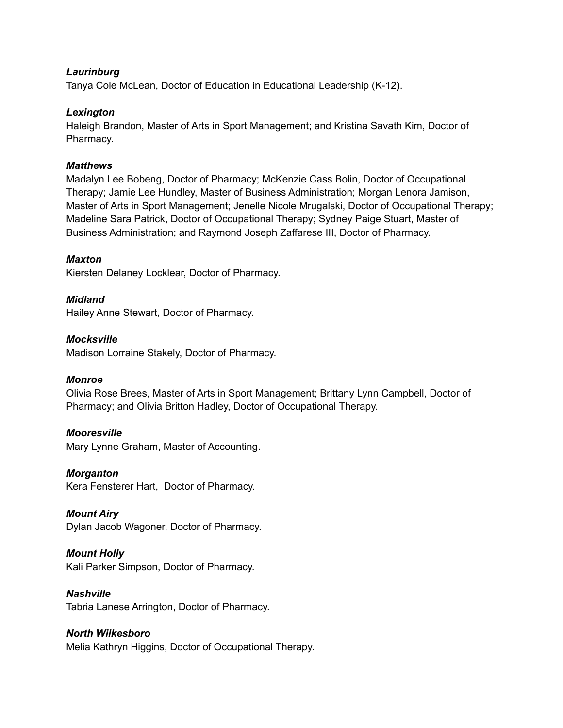#### *Laurinburg*

Tanya Cole McLean, Doctor of Education in Educational Leadership (K-12).

#### *Lexington*

Haleigh Brandon, Master of Arts in Sport Management; and Kristina Savath Kim, Doctor of Pharmacy.

### *Matthews*

Madalyn Lee Bobeng, Doctor of Pharmacy; McKenzie Cass Bolin, Doctor of Occupational Therapy; Jamie Lee Hundley, Master of Business Administration; Morgan Lenora Jamison, Master of Arts in Sport Management; Jenelle Nicole Mrugalski, Doctor of Occupational Therapy; Madeline Sara Patrick, Doctor of Occupational Therapy; Sydney Paige Stuart, Master of Business Administration; and Raymond Joseph Zaffarese III, Doctor of Pharmacy.

### *Maxton*

Kiersten Delaney Locklear, Doctor of Pharmacy.

### *Midland*

Hailey Anne Stewart, Doctor of Pharmacy.

*Mocksville* Madison Lorraine Stakely, Doctor of Pharmacy.

#### *Monroe*

Olivia Rose Brees, Master of Arts in Sport Management; Brittany Lynn Campbell, Doctor of Pharmacy; and Olivia Britton Hadley, Doctor of Occupational Therapy.

#### *Mooresville*

Mary Lynne Graham, Master of Accounting.

*Morganton*

Kera Fensterer Hart, Doctor of Pharmacy.

## *Mount Airy*

Dylan Jacob Wagoner, Doctor of Pharmacy.

## *Mount Holly*

Kali Parker Simpson, Doctor of Pharmacy.

### *Nashville*

Tabria Lanese Arrington, Doctor of Pharmacy.

## *North Wilkesboro*

Melia Kathryn Higgins, Doctor of Occupational Therapy.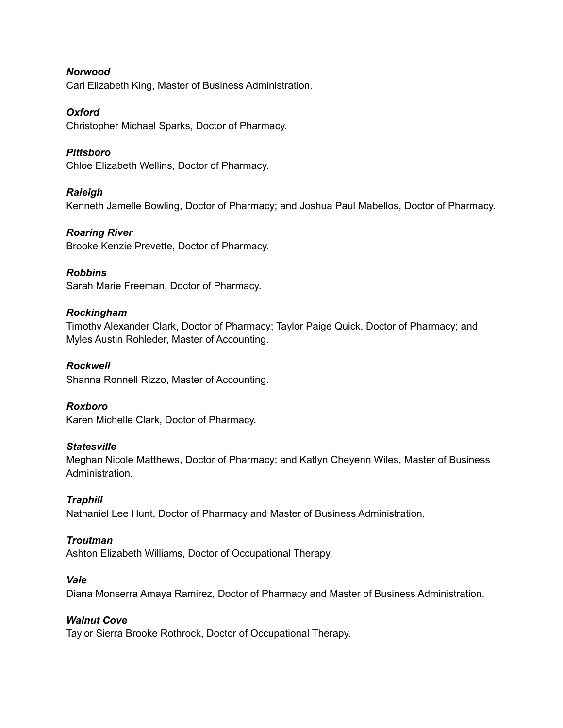*Norwood* Cari Elizabeth King, Master of Business Administration.

#### *Oxford*

Christopher Michael Sparks, Doctor of Pharmacy.

## *Pittsboro*

Chloe Elizabeth Wellins, Doctor of Pharmacy.

### *Raleigh*

Kenneth Jamelle Bowling, Doctor of Pharmacy; and Joshua Paul Mabellos, Doctor of Pharmacy.

### *Roaring River*

Brooke Kenzie Prevette, Doctor of Pharmacy.

### *Robbins*

Sarah Marie Freeman, Doctor of Pharmacy.

## *Rockingham*

Timothy Alexander Clark, Doctor of Pharmacy; Taylor Paige Quick, Doctor of Pharmacy; and Myles Austin Rohleder, Master of Accounting.

*Rockwell* Shanna Ronnell Rizzo, Master of Accounting.

#### *Roxboro* Karen Michelle Clark, Doctor of Pharmacy.

## *Statesville*

Meghan Nicole Matthews, Doctor of Pharmacy; and Katlyn Cheyenn Wiles, Master of Business Administration.

## *Traphill*

Nathaniel Lee Hunt, Doctor of Pharmacy and Master of Business Administration.

## *Troutman*

Ashton Elizabeth Williams, Doctor of Occupational Therapy.

#### *Vale*

Diana Monserra Amaya Ramirez, Doctor of Pharmacy and Master of Business Administration.

## *Walnut Cove*

Taylor Sierra Brooke Rothrock, Doctor of Occupational Therapy.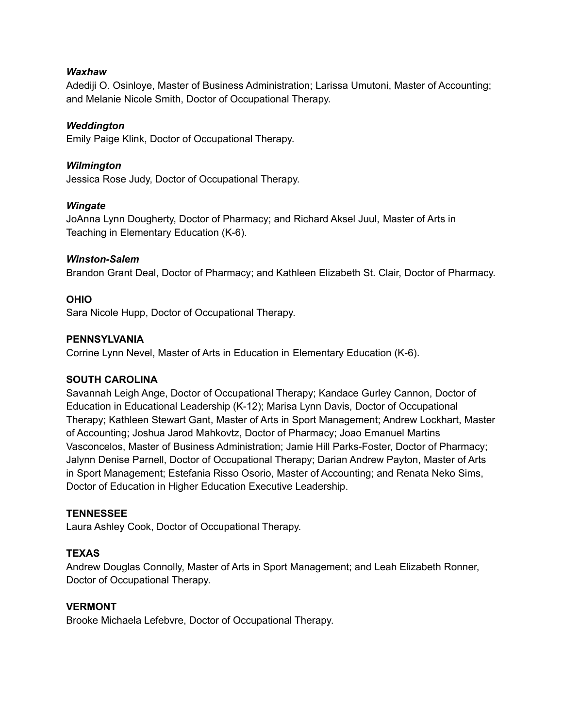#### *Waxhaw*

Adediji O. Osinloye, Master of Business Administration; Larissa Umutoni, Master of Accounting; and Melanie Nicole Smith, Doctor of Occupational Therapy.

#### *Weddington*

Emily Paige Klink, Doctor of Occupational Therapy.

#### *Wilmington*

Jessica Rose Judy, Doctor of Occupational Therapy.

#### *Wingate*

JoAnna Lynn Dougherty, Doctor of Pharmacy; and Richard Aksel Juul, Master of Arts in Teaching in Elementary Education (K-6).

#### *Winston-Salem*

Brandon Grant Deal, Doctor of Pharmacy; and Kathleen Elizabeth St. Clair, Doctor of Pharmacy.

#### **OHIO**

Sara Nicole Hupp, Doctor of Occupational Therapy.

#### **PENNSYLVANIA**

Corrine Lynn Nevel, Master of Arts in Education in Elementary Education (K-6).

#### **SOUTH CAROLINA**

Savannah Leigh Ange, Doctor of Occupational Therapy; Kandace Gurley Cannon, Doctor of Education in Educational Leadership (K-12); Marisa Lynn Davis, Doctor of Occupational Therapy; Kathleen Stewart Gant, Master of Arts in Sport Management; Andrew Lockhart, Master of Accounting; Joshua Jarod Mahkovtz, Doctor of Pharmacy; Joao Emanuel Martins Vasconcelos, Master of Business Administration; Jamie Hill Parks-Foster, Doctor of Pharmacy; Jalynn Denise Parnell, Doctor of Occupational Therapy; Darian Andrew Payton, Master of Arts in Sport Management; Estefania Risso Osorio, Master of Accounting; and Renata Neko Sims, Doctor of Education in Higher Education Executive Leadership.

#### **TENNESSEE**

Laura Ashley Cook, Doctor of Occupational Therapy.

#### **TEXAS**

Andrew Douglas Connolly, Master of Arts in Sport Management; and Leah Elizabeth Ronner, Doctor of Occupational Therapy.

#### **VERMONT**

Brooke Michaela Lefebvre, Doctor of Occupational Therapy.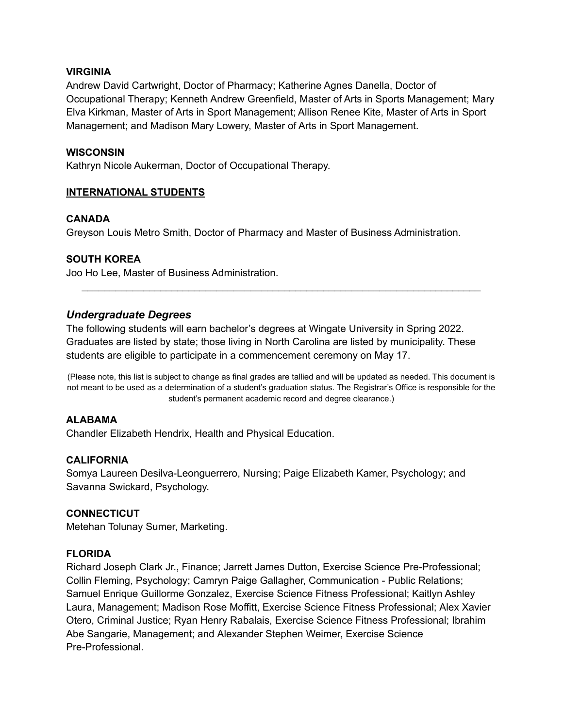#### **VIRGINIA**

Andrew David Cartwright, Doctor of Pharmacy; Katherine Agnes Danella, Doctor of Occupational Therapy; Kenneth Andrew Greenfield, Master of Arts in Sports Management; Mary Elva Kirkman, Master of Arts in Sport Management; Allison Renee Kite, Master of Arts in Sport Management; and Madison Mary Lowery, Master of Arts in Sport Management.

#### **WISCONSIN**

Kathryn Nicole Aukerman, Doctor of Occupational Therapy.

#### **INTERNATIONAL STUDENTS**

#### **CANADA**

Greyson Louis Metro Smith, Doctor of Pharmacy and Master of Business Administration.

#### **SOUTH KOREA**

Joo Ho Lee, Master of Business Administration.

### *Undergraduate Degrees*

The following students will earn bachelor's degrees at Wingate University in Spring 2022. Graduates are listed by state; those living in North Carolina are listed by municipality. These students are eligible to participate in a commencement ceremony on May 17.

(Please note, this list is subject to change as final grades are tallied and will be updated as needed. This document is not meant to be used as a determination of a student's graduation status. The Registrar's Office is responsible for the student's permanent academic record and degree clearance.)

\_\_\_\_\_\_\_\_\_\_\_\_\_\_\_\_\_\_\_\_\_\_\_\_\_\_\_\_\_\_\_\_\_\_\_\_\_\_\_\_\_\_\_\_\_\_\_\_\_\_\_\_\_\_\_\_\_\_\_\_\_\_\_\_\_\_\_\_\_\_\_

#### **ALABAMA**

Chandler Elizabeth Hendrix, Health and Physical Education.

#### **CALIFORNIA**

Somya Laureen Desilva-Leonguerrero, Nursing; Paige Elizabeth Kamer, Psychology; and Savanna Swickard, Psychology.

#### **CONNECTICUT**

Metehan Tolunay Sumer, Marketing.

#### **FLORIDA**

Richard Joseph Clark Jr., Finance; Jarrett James Dutton, Exercise Science Pre-Professional; Collin Fleming, Psychology; Camryn Paige Gallagher, Communication - Public Relations; Samuel Enrique Guillorme Gonzalez, Exercise Science Fitness Professional; Kaitlyn Ashley Laura, Management; Madison Rose Moffitt, Exercise Science Fitness Professional; Alex Xavier Otero, Criminal Justice; Ryan Henry Rabalais, Exercise Science Fitness Professional; Ibrahim Abe Sangarie, Management; and Alexander Stephen Weimer, Exercise Science Pre-Professional.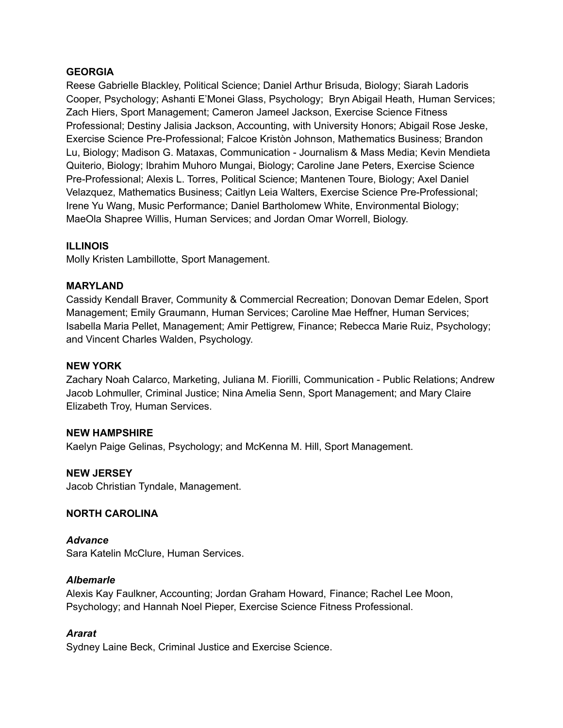### **GEORGIA**

Reese Gabrielle Blackley, Political Science; Daniel Arthur Brisuda, Biology; Siarah Ladoris Cooper, Psychology; Ashanti E'Monei Glass, Psychology; Bryn Abigail Heath, Human Services; Zach Hiers, Sport Management; Cameron Jameel Jackson, Exercise Science Fitness Professional; Destiny Jalisia Jackson, Accounting, with University Honors; Abigail Rose Jeske, Exercise Science Pre-Professional; Falcoe Kristòn Johnson, Mathematics Business; Brandon Lu, Biology; Madison G. Mataxas, Communication - Journalism & Mass Media; Kevin Mendieta Quiterio, Biology; Ibrahim Muhoro Mungai, Biology; Caroline Jane Peters, Exercise Science Pre-Professional; Alexis L. Torres, Political Science; Mantenen Toure, Biology; Axel Daniel Velazquez, Mathematics Business; Caitlyn Leia Walters, Exercise Science Pre-Professional; Irene Yu Wang, Music Performance; Daniel Bartholomew White, Environmental Biology; MaeOla Shapree Willis, Human Services; and Jordan Omar Worrell, Biology.

### **ILLINOIS**

Molly Kristen Lambillotte, Sport Management.

#### **MARYLAND**

Cassidy Kendall Braver, Community & Commercial Recreation; Donovan Demar Edelen, Sport Management; Emily Graumann, Human Services; Caroline Mae Heffner, Human Services; Isabella Maria Pellet, Management; Amir Pettigrew, Finance; Rebecca Marie Ruiz, Psychology; and Vincent Charles Walden, Psychology.

#### **NEW YORK**

Zachary Noah Calarco, Marketing, Juliana M. Fiorilli, Communication - Public Relations; Andrew Jacob Lohmuller, Criminal Justice; Nina Amelia Senn, Sport Management; and Mary Claire Elizabeth Troy, Human Services.

#### **NEW HAMPSHIRE**

Kaelyn Paige Gelinas, Psychology; and McKenna M. Hill, Sport Management.

#### **NEW JERSEY**

Jacob Christian Tyndale, Management.

#### **NORTH CAROLINA**

*Advance* Sara Katelin McClure, Human Services.

#### *Albemarle*

Alexis Kay Faulkner, Accounting; Jordan Graham Howard, Finance; Rachel Lee Moon, Psychology; and Hannah Noel Pieper, Exercise Science Fitness Professional.

#### *Ararat*

Sydney Laine Beck, Criminal Justice and Exercise Science.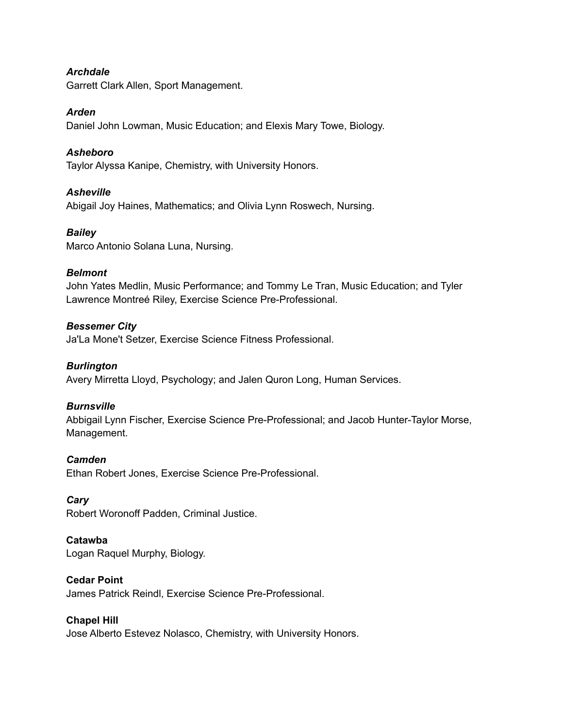#### *Archdale*

Garrett Clark Allen, Sport Management.

#### *Arden*

Daniel John Lowman, Music Education; and Elexis Mary Towe, Biology.

#### *Asheboro*

Taylor Alyssa Kanipe, Chemistry, with University Honors.

#### *Asheville*

Abigail Joy Haines, Mathematics; and Olivia Lynn Roswech, Nursing.

#### *Bailey*

Marco Antonio Solana Luna, Nursing.

#### *Belmont*

John Yates Medlin, Music Performance; and Tommy Le Tran, Music Education; and Tyler Lawrence Montreé Riley, Exercise Science Pre-Professional.

#### *Bessemer City*

Ja'La Mone't Setzer, Exercise Science Fitness Professional.

#### *Burlington*

Avery Mirretta Lloyd, Psychology; and Jalen Quron Long, Human Services.

#### *Burnsville*

Abbigail Lynn Fischer, Exercise Science Pre-Professional; and Jacob Hunter-Taylor Morse, Management.

#### *Camden*

Ethan Robert Jones, Exercise Science Pre-Professional.

#### *Cary*

Robert Woronoff Padden, Criminal Justice.

#### **Catawba**

Logan Raquel Murphy, Biology.

#### **Cedar Point**

James Patrick Reindl, Exercise Science Pre-Professional.

#### **Chapel Hill**

Jose Alberto Estevez Nolasco, Chemistry, with University Honors.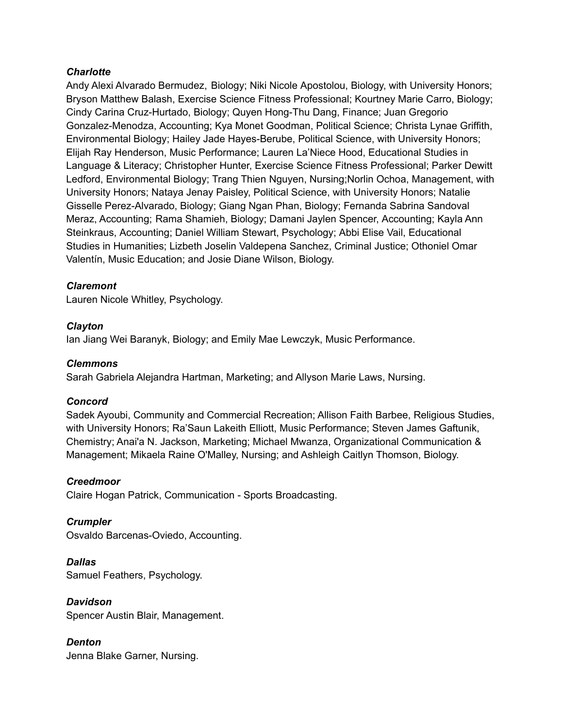#### *Charlotte*

Andy Alexi Alvarado Bermudez, Biology; Niki Nicole Apostolou, Biology, with University Honors; Bryson Matthew Balash, Exercise Science Fitness Professional; Kourtney Marie Carro, Biology; Cindy Carina Cruz-Hurtado, Biology; Quyen Hong-Thu Dang, Finance; Juan Gregorio Gonzalez-Menodza, Accounting; Kya Monet Goodman, Political Science; Christa Lynae Griffith, Environmental Biology; Hailey Jade Hayes-Berube, Political Science, with University Honors; Elijah Ray Henderson, Music Performance; Lauren La'Niece Hood, Educational Studies in Language & Literacy; Christopher Hunter, Exercise Science Fitness Professional; Parker Dewitt Ledford, Environmental Biology; Trang Thien Nguyen, Nursing;Norlin Ochoa, Management, with University Honors; Nataya Jenay Paisley, Political Science, with University Honors; Natalie Gisselle Perez-Alvarado, Biology; Giang Ngan Phan, Biology; Fernanda Sabrina Sandoval Meraz, Accounting; Rama Shamieh, Biology; Damani Jaylen Spencer, Accounting; Kayla Ann Steinkraus, Accounting; Daniel William Stewart, Psychology; Abbi Elise Vail, Educational Studies in Humanities; Lizbeth Joselin Valdepena Sanchez, Criminal Justice; Othoniel Omar Valentín, Music Education; and Josie Diane Wilson, Biology.

#### *Claremont*

Lauren Nicole Whitley, Psychology.

#### *Clayton*

Ian Jiang Wei Baranyk, Biology; and Emily Mae Lewczyk, Music Performance.

#### *Clemmons*

Sarah Gabriela Alejandra Hartman, Marketing; and Allyson Marie Laws, Nursing.

#### *Concord*

Sadek Ayoubi, Community and Commercial Recreation; Allison Faith Barbee, Religious Studies, with University Honors; Ra'Saun Lakeith Elliott, Music Performance; Steven James Gaftunik, Chemistry; Anai'a N. Jackson, Marketing; Michael Mwanza, Organizational Communication & Management; Mikaela Raine O'Malley, Nursing; and Ashleigh Caitlyn Thomson, Biology.

#### *Creedmoor*

Claire Hogan Patrick, Communication - Sports Broadcasting.

*Crumpler* Osvaldo Barcenas-Oviedo, Accounting.

*Dallas* Samuel Feathers, Psychology.

*Davidson* Spencer Austin Blair, Management.

*Denton* Jenna Blake Garner, Nursing.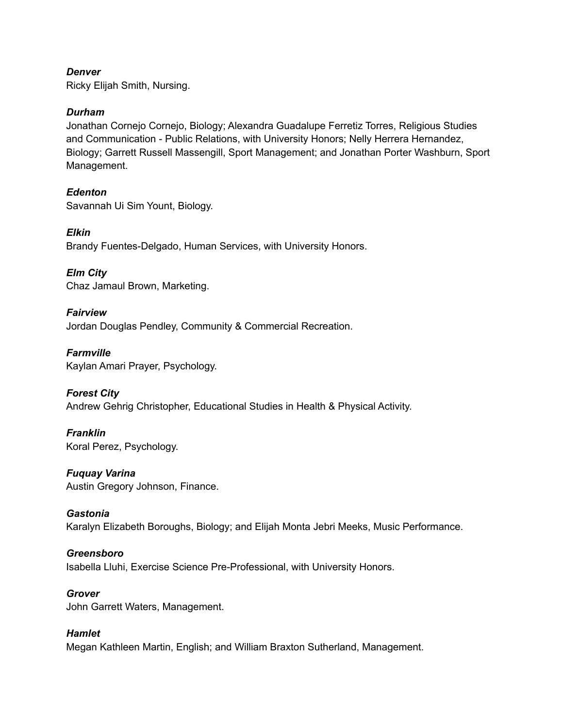#### *Denver*

Ricky Elijah Smith, Nursing.

#### *Durham*

Jonathan Cornejo Cornejo, Biology; Alexandra Guadalupe Ferretiz Torres, Religious Studies and Communication - Public Relations, with University Honors; Nelly Herrera Hernandez, Biology; Garrett Russell Massengill, Sport Management; and Jonathan Porter Washburn, Sport Management.

## *Edenton*

Savannah Ui Sim Yount, Biology.

### *Elkin*

Brandy Fuentes-Delgado, Human Services, with University Honors.

*Elm City* Chaz Jamaul Brown, Marketing.

## *Fairview* Jordan Douglas Pendley, Community & Commercial Recreation.

*Farmville* Kaylan Amari Prayer, Psychology.

## *Forest City*

Andrew Gehrig Christopher, Educational Studies in Health & Physical Activity.

## *Franklin*

Koral Perez, Psychology.

#### *Fuquay Varina*

Austin Gregory Johnson, Finance.

#### *Gastonia*

Karalyn Elizabeth Boroughs, Biology; and Elijah Monta Jebri Meeks, Music Performance.

#### *Greensboro*

Isabella Lluhi, Exercise Science Pre-Professional, with University Honors.

### *Grover*

John Garrett Waters, Management.

## *Hamlet*

Megan Kathleen Martin, English; and William Braxton Sutherland, Management.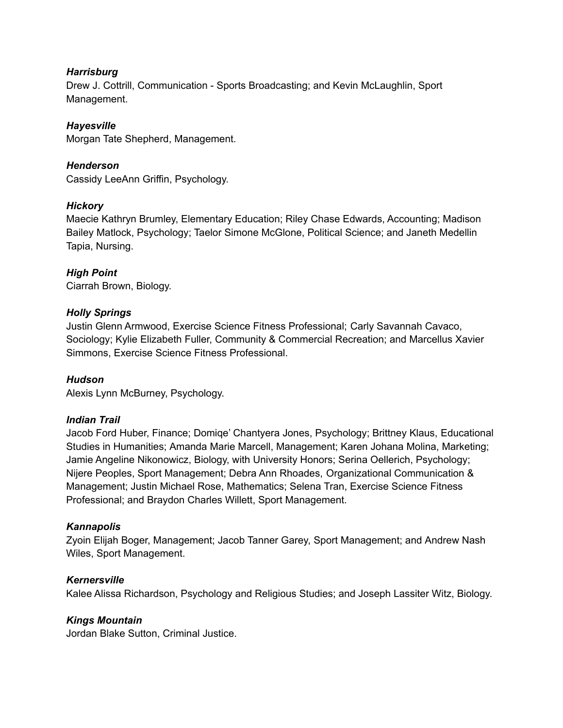#### *Harrisburg*

Drew J. Cottrill, Communication - Sports Broadcasting; and Kevin McLaughlin, Sport Management.

## *Hayesville*

Morgan Tate Shepherd, Management.

## *Henderson*

Cassidy LeeAnn Griffin, Psychology.

## *Hickory*

Maecie Kathryn Brumley, Elementary Education; Riley Chase Edwards, Accounting; Madison Bailey Matlock, Psychology; Taelor Simone McGlone, Political Science; and Janeth Medellin Tapia, Nursing.

### *High Point*

Ciarrah Brown, Biology.

### *Holly Springs*

Justin Glenn Armwood, Exercise Science Fitness Professional; Carly Savannah Cavaco, Sociology; Kylie Elizabeth Fuller, Community & Commercial Recreation; and Marcellus Xavier Simmons, Exercise Science Fitness Professional.

## *Hudson*

Alexis Lynn McBurney, Psychology.

#### *Indian Trail*

Jacob Ford Huber, Finance; Domiqe' Chantyera Jones, Psychology; Brittney Klaus, Educational Studies in Humanities; Amanda Marie Marcell, Management; Karen Johana Molina, Marketing; Jamie Angeline Nikonowicz, Biology, with University Honors; Serina Oellerich, Psychology; Nijere Peoples, Sport Management; Debra Ann Rhoades, Organizational Communication & Management; Justin Michael Rose, Mathematics; Selena Tran, Exercise Science Fitness Professional; and Braydon Charles Willett, Sport Management.

#### *Kannapolis*

Zyoin Elijah Boger, Management; Jacob Tanner Garey, Sport Management; and Andrew Nash Wiles, Sport Management.

#### *Kernersville*

Kalee Alissa Richardson, Psychology and Religious Studies; and Joseph Lassiter Witz, Biology.

## *Kings Mountain*

Jordan Blake Sutton, Criminal Justice.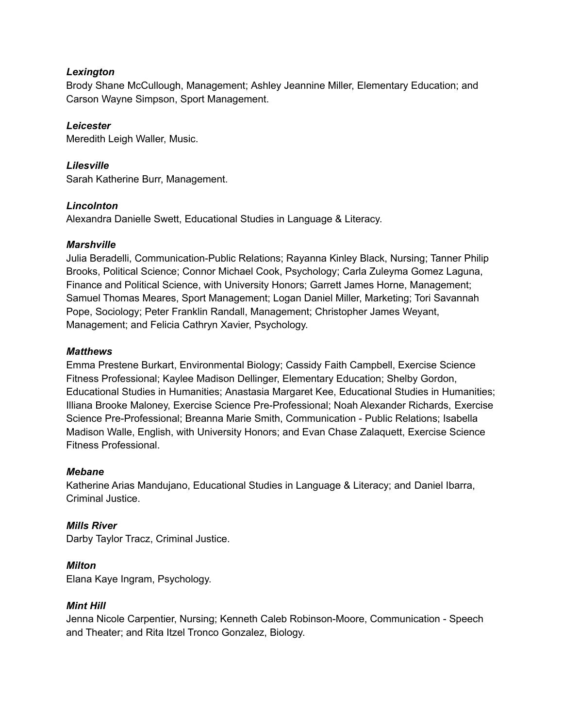### *Lexington*

Brody Shane McCullough, Management; Ashley Jeannine Miller, Elementary Education; and Carson Wayne Simpson, Sport Management.

## *Leicester*

Meredith Leigh Waller, Music.

## *Lilesville*

Sarah Katherine Burr, Management.

### *Lincolnton*

Alexandra Danielle Swett, Educational Studies in Language & Literacy.

### *Marshville*

Julia Beradelli, Communication-Public Relations; Rayanna Kinley Black, Nursing; Tanner Philip Brooks, Political Science; Connor Michael Cook, Psychology; Carla Zuleyma Gomez Laguna, Finance and Political Science, with University Honors; Garrett James Horne, Management; Samuel Thomas Meares, Sport Management; Logan Daniel Miller, Marketing; Tori Savannah Pope, Sociology; Peter Franklin Randall, Management; Christopher James Weyant, Management; and Felicia Cathryn Xavier, Psychology.

#### *Matthews*

Emma Prestene Burkart, Environmental Biology; Cassidy Faith Campbell, Exercise Science Fitness Professional; Kaylee Madison Dellinger, Elementary Education; Shelby Gordon, Educational Studies in Humanities; Anastasia Margaret Kee, Educational Studies in Humanities; Illiana Brooke Maloney, Exercise Science Pre-Professional; Noah Alexander Richards, Exercise Science Pre-Professional; Breanna Marie Smith, Communication - Public Relations; Isabella Madison Walle, English, with University Honors; and Evan Chase Zalaquett, Exercise Science Fitness Professional.

#### *Mebane*

Katherine Arias Mandujano, Educational Studies in Language & Literacy; and Daniel Ibarra, Criminal Justice.

## *Mills River*

Darby Taylor Tracz, Criminal Justice.

## *Milton*

Elana Kaye Ingram, Psychology.

#### *Mint Hill*

Jenna Nicole Carpentier, Nursing; Kenneth Caleb Robinson-Moore, Communication - Speech and Theater; and Rita Itzel Tronco Gonzalez, Biology.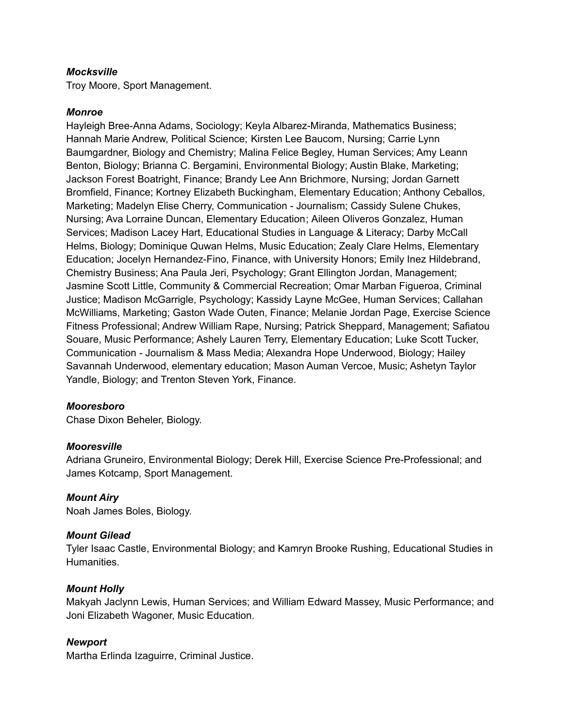#### *Mocksville*

Troy Moore, Sport Management.

#### *Monroe*

Hayleigh Bree-Anna Adams, Sociology; Keyla Albarez-Miranda, Mathematics Business; Hannah Marie Andrew, Political Science; Kirsten Lee Baucom, Nursing; Carrie Lynn Baumgardner, Biology and Chemistry; Malina Felice Begley, Human Services; Amy Leann Benton, Biology; Brianna C. Bergamini, Environmental Biology; Austin Blake, Marketing; Jackson Forest Boatright, Finance; Brandy Lee Ann Brichmore, Nursing; Jordan Garnett Bromfield, Finance; Kortney Elizabeth Buckingham, Elementary Education; Anthony Ceballos, Marketing; Madelyn Elise Cherry, Communication - Journalism; Cassidy Sulene Chukes, Nursing; Ava Lorraine Duncan, Elementary Education; Aileen Oliveros Gonzalez, Human Services; Madison Lacey Hart, Educational Studies in Language & Literacy; Darby McCall Helms, Biology; Dominique Quwan Helms, Music Education; Zealy Clare Helms, Elementary Education; Jocelyn Hernandez-Fino, Finance, with University Honors; Emily Inez Hildebrand, Chemistry Business; Ana Paula Jeri, Psychology; Grant Ellington Jordan, Management; Jasmine Scott Little, Community & Commercial Recreation; Omar Marban Figueroa, Criminal Justice; Madison McGarrigle, Psychology; Kassidy Layne McGee, Human Services; Callahan McWilliams, Marketing; Gaston Wade Outen, Finance; Melanie Jordan Page, Exercise Science Fitness Professional; Andrew William Rape, Nursing; Patrick Sheppard, Management; Safiatou Souare, Music Performance; Ashely Lauren Terry, Elementary Education; Luke Scott Tucker, Communication - Journalism & Mass Media; Alexandra Hope Underwood, Biology; Hailey Savannah Underwood, elementary education; Mason Auman Vercoe, Music; Ashetyn Taylor Yandle, Biology; and Trenton Steven York, Finance.

#### *Mooresboro*

Chase Dixon Beheler, Biology.

#### *Mooresville*

Adriana Gruneiro, Environmental Biology; Derek Hill, Exercise Science Pre-Professional; and James Kotcamp, Sport Management.

#### *Mount Airy*

Noah James Boles, Biology.

#### *Mount Gilead*

Tyler Isaac Castle, Environmental Biology; and Kamryn Brooke Rushing, Educational Studies in **Humanities** 

#### *Mount Holly*

Makyah Jaclynn Lewis, Human Services; and William Edward Massey, Music Performance; and Joni Elizabeth Wagoner, Music Education.

#### *Newport*

Martha Erlinda Izaguirre, Criminal Justice.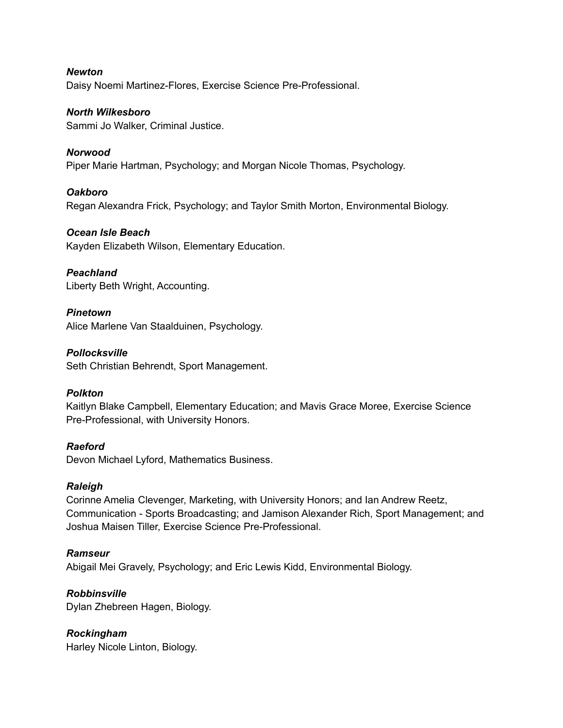*Newton* Daisy Noemi Martinez-Flores, Exercise Science Pre-Professional.

*North Wilkesboro* Sammi Jo Walker, Criminal Justice.

*Norwood* Piper Marie Hartman, Psychology; and Morgan Nicole Thomas, Psychology.

*Oakboro* Regan Alexandra Frick, Psychology; and Taylor Smith Morton, Environmental Biology.

*Ocean Isle Beach* Kayden Elizabeth Wilson, Elementary Education.

*Peachland* Liberty Beth Wright, Accounting.

*Pinetown* Alice Marlene Van Staalduinen, Psychology.

*Pollocksville* Seth Christian Behrendt, Sport Management.

#### *Polkton*

Kaitlyn Blake Campbell, Elementary Education; and Mavis Grace Moree, Exercise Science Pre-Professional, with University Honors.

*Raeford* Devon Michael Lyford, Mathematics Business.

#### *Raleigh*

Corinne Amelia Clevenger, Marketing, with University Honors; and Ian Andrew Reetz, Communication - Sports Broadcasting; and Jamison Alexander Rich, Sport Management; and Joshua Maisen Tiller, Exercise Science Pre-Professional.

#### *Ramseur*

Abigail Mei Gravely, Psychology; and Eric Lewis Kidd, Environmental Biology.

#### *Robbinsville*

Dylan Zhebreen Hagen, Biology.

*Rockingham*

Harley Nicole Linton, Biology.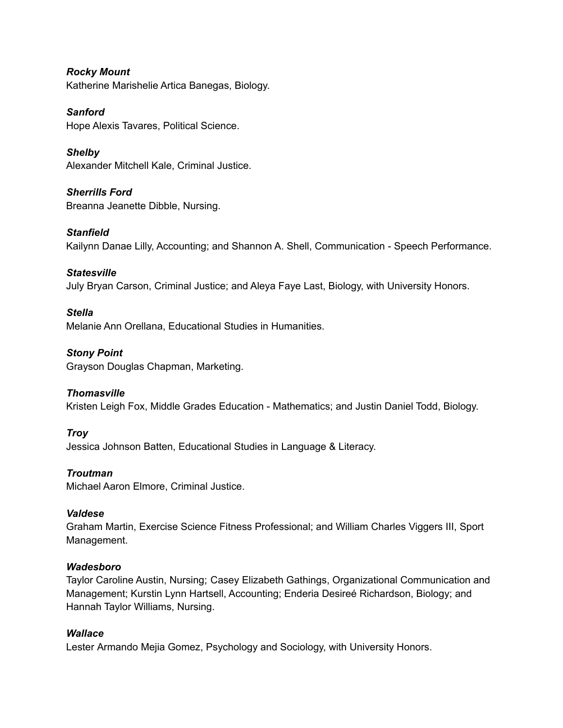*Rocky Mount* Katherine Marishelie Artica Banegas, Biology.

*Sanford* Hope Alexis Tavares, Political Science.

*Shelby* Alexander Mitchell Kale, Criminal Justice.

*Sherrills Ford* Breanna Jeanette Dibble, Nursing.

*Stanfield* Kailynn Danae Lilly, Accounting; and Shannon A. Shell, Communication - Speech Performance.

### *Statesville*

July Bryan Carson, Criminal Justice; and Aleya Faye Last, Biology, with University Honors.

#### *Stella*

Melanie Ann Orellana, Educational Studies in Humanities.

*Stony Point*

Grayson Douglas Chapman, Marketing.

#### *Thomasville*

Kristen Leigh Fox, Middle Grades Education - Mathematics; and Justin Daniel Todd, Biology.

#### *Troy*

Jessica Johnson Batten, Educational Studies in Language & Literacy.

#### *Troutman*

Michael Aaron Elmore, Criminal Justice.

#### *Valdese*

Graham Martin, Exercise Science Fitness Professional; and William Charles Viggers III, Sport Management.

#### *Wadesboro*

Taylor Caroline Austin, Nursing; Casey Elizabeth Gathings, Organizational Communication and Management; Kurstin Lynn Hartsell, Accounting; Enderia Desireé Richardson, Biology; and Hannah Taylor Williams, Nursing.

#### *Wallace*

Lester Armando Mejia Gomez, Psychology and Sociology, with University Honors.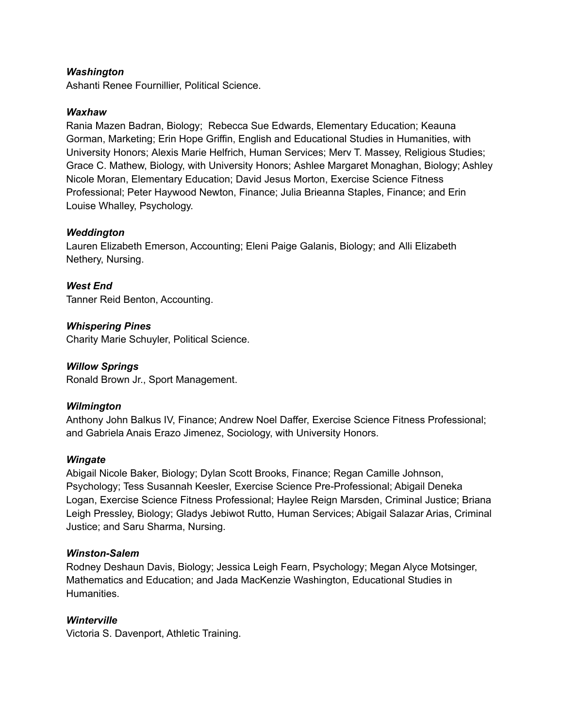#### *Washington*

Ashanti Renee Fournillier, Political Science.

#### *Waxhaw*

Rania Mazen Badran, Biology; Rebecca Sue Edwards, Elementary Education; Keauna Gorman, Marketing; Erin Hope Griffin, English and Educational Studies in Humanities, with University Honors; Alexis Marie Helfrich, Human Services; Merv T. Massey, Religious Studies; Grace C. Mathew, Biology, with University Honors; Ashlee Margaret Monaghan, Biology; Ashley Nicole Moran, Elementary Education; David Jesus Morton, Exercise Science Fitness Professional; Peter Haywood Newton, Finance; Julia Brieanna Staples, Finance; and Erin Louise Whalley, Psychology.

#### *Weddington*

Lauren Elizabeth Emerson, Accounting; Eleni Paige Galanis, Biology; and Alli Elizabeth Nethery, Nursing.

*West End* Tanner Reid Benton, Accounting.

*Whispering Pines* Charity Marie Schuyler, Political Science.

#### *Willow Springs*

Ronald Brown Jr., Sport Management.

#### *Wilmington*

Anthony John Balkus IV, Finance; Andrew Noel Daffer, Exercise Science Fitness Professional; and Gabriela Anais Erazo Jimenez, Sociology, with University Honors.

#### *Wingate*

Abigail Nicole Baker, Biology; Dylan Scott Brooks, Finance; Regan Camille Johnson, Psychology; Tess Susannah Keesler, Exercise Science Pre-Professional; Abigail Deneka Logan, Exercise Science Fitness Professional; Haylee Reign Marsden, Criminal Justice; Briana Leigh Pressley, Biology; Gladys Jebiwot Rutto, Human Services; Abigail Salazar Arias, Criminal Justice; and Saru Sharma, Nursing.

#### *Winston-Salem*

Rodney Deshaun Davis, Biology; Jessica Leigh Fearn, Psychology; Megan Alyce Motsinger, Mathematics and Education; and Jada MacKenzie Washington, Educational Studies in Humanities.

#### *Winterville*

Victoria S. Davenport, Athletic Training.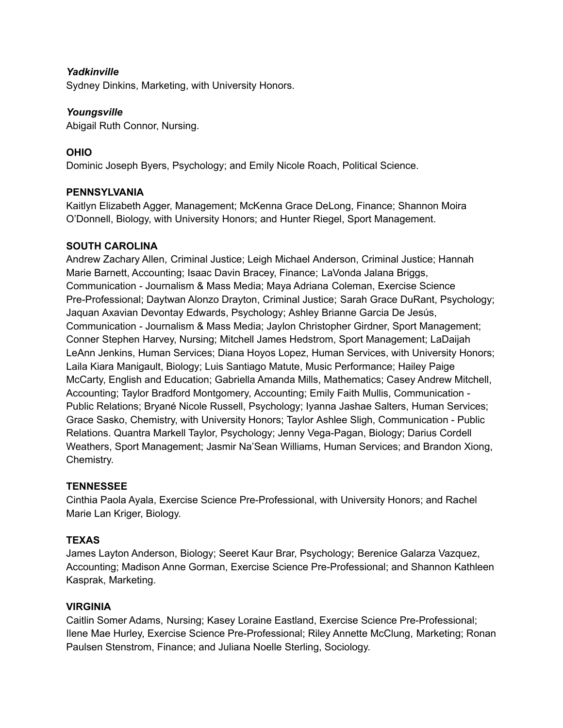### *Yadkinville*

Sydney Dinkins, Marketing, with University Honors.

#### *Youngsville*

Abigail Ruth Connor, Nursing.

## **OHIO**

Dominic Joseph Byers, Psychology; and Emily Nicole Roach, Political Science.

#### **PENNSYLVANIA**

Kaitlyn Elizabeth Agger, Management; McKenna Grace DeLong, Finance; Shannon Moira O'Donnell, Biology, with University Honors; and Hunter Riegel, Sport Management.

### **SOUTH CAROLINA**

Andrew Zachary Allen, Criminal Justice; Leigh Michael Anderson, Criminal Justice; Hannah Marie Barnett, Accounting; Isaac Davin Bracey, Finance; LaVonda Jalana Briggs, Communication - Journalism & Mass Media; Maya Adriana Coleman, Exercise Science Pre-Professional; Daytwan Alonzo Drayton, Criminal Justice; Sarah Grace DuRant, Psychology; Jaquan Axavian Devontay Edwards, Psychology; Ashley Brianne Garcia De Jesús, Communication - Journalism & Mass Media; Jaylon Christopher Girdner, Sport Management; Conner Stephen Harvey, Nursing; Mitchell James Hedstrom, Sport Management; LaDaijah LeAnn Jenkins, Human Services; Diana Hoyos Lopez, Human Services, with University Honors; Laila Kiara Manigault, Biology; Luis Santiago Matute, Music Performance; Hailey Paige McCarty, English and Education; Gabriella Amanda Mills, Mathematics; Casey Andrew Mitchell, Accounting; Taylor Bradford Montgomery, Accounting; Emily Faith Mullis, Communication - Public Relations; Bryané Nicole Russell, Psychology; Iyanna Jashae Salters, Human Services; Grace Sasko, Chemistry, with University Honors; Taylor Ashlee Sligh, Communication - Public Relations. Quantra Markell Taylor, Psychology; Jenny Vega-Pagan, Biology; Darius Cordell Weathers, Sport Management; Jasmir Na'Sean Williams, Human Services; and Brandon Xiong, Chemistry.

#### **TENNESSEE**

Cinthia Paola Ayala, Exercise Science Pre-Professional, with University Honors; and Rachel Marie Lan Kriger, Biology.

## **TEXAS**

James Layton Anderson, Biology; Seeret Kaur Brar, Psychology; Berenice Galarza Vazquez, Accounting; Madison Anne Gorman, Exercise Science Pre-Professional; and Shannon Kathleen Kasprak, Marketing.

#### **VIRGINIA**

Caitlin Somer Adams, Nursing; Kasey Loraine Eastland, Exercise Science Pre-Professional; Ilene Mae Hurley, Exercise Science Pre-Professional; Riley Annette McClung, Marketing; Ronan Paulsen Stenstrom, Finance; and Juliana Noelle Sterling, Sociology.